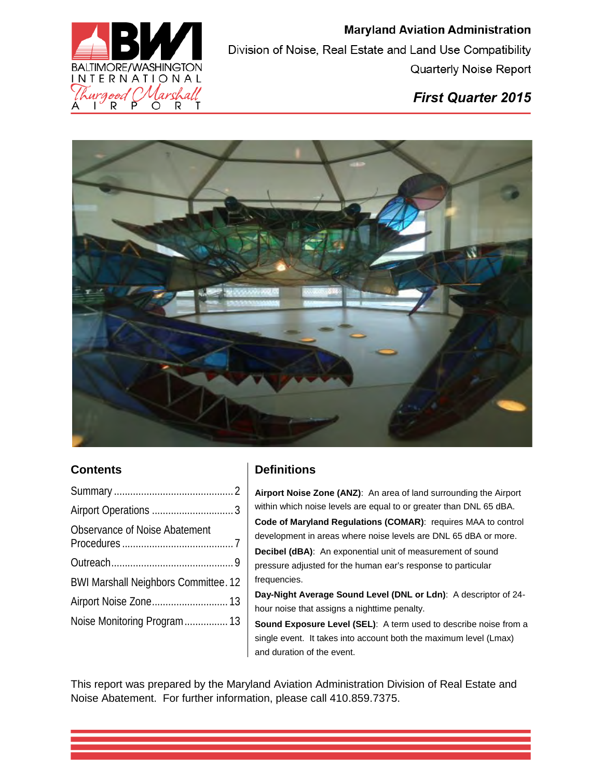

### *First Quarter 2015*



#### **Contents**

| Observance of Noise Abatement               |  |
|---------------------------------------------|--|
|                                             |  |
| <b>BWI Marshall Neighbors Committee. 12</b> |  |
| Airport Noise Zone 13                       |  |
| Noise Monitoring Program 13                 |  |

### **Definitions**

**Airport Noise Zone (ANZ)**: An area of land surrounding the Airport within which noise levels are equal to or greater than DNL 65 dBA. **Code of Maryland Regulations (COMAR)**: requires MAA to control development in areas where noise levels are DNL 65 dBA or more. **Decibel (dBA)**: An exponential unit of measurement of sound pressure adjusted for the human ear's response to particular frequencies.

**Day-Night Average Sound Level (DNL or Ldn)**: A descriptor of 24 hour noise that assigns a nighttime penalty.

**Sound Exposure Level (SEL)**: A term used to describe noise from a single event. It takes into account both the maximum level (Lmax) and duration of the event.

This report was prepared by the Maryland Aviation Administration Division of Real Estate and Noise Abatement. For further information, please call 410.859.7375.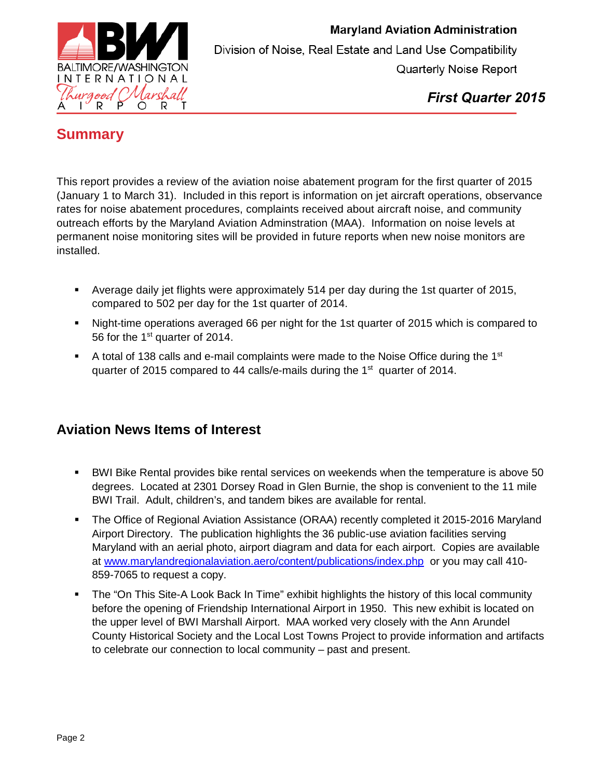

*First Quarter 2015*

### <span id="page-1-0"></span>**Summary**

This report provides a review of the aviation noise abatement program for the first quarter of 2015 (January 1 to March 31). Included in this report is information on jet aircraft operations, observance rates for noise abatement procedures, complaints received about aircraft noise, and community outreach efforts by the Maryland Aviation Adminstration (MAA). Information on noise levels at permanent noise monitoring sites will be provided in future reports when new noise monitors are installed.

- Average daily jet flights were approximately 514 per day during the 1st quarter of 2015, compared to 502 per day for the 1st quarter of 2014.
- Night-time operations averaged 66 per night for the 1st quarter of 2015 which is compared to 56 for the 1st quarter of 2014.
- A total of 138 calls and e-mail complaints were made to the Noise Office during the  $1<sup>st</sup>$ quarter of 2015 compared to 44 calls/e-mails during the  $1<sup>st</sup>$  quarter of 2014.

### **Aviation News Items of Interest**

- BWI Bike Rental provides bike rental services on weekends when the temperature is above 50 degrees. Located at 2301 Dorsey Road in Glen Burnie, the shop is convenient to the 11 mile BWI Trail. Adult, children's, and tandem bikes are available for rental.
- The Office of Regional Aviation Assistance (ORAA) recently completed it 2015-2016 Maryland Airport Directory. The publication highlights the 36 public-use aviation facilities serving Maryland with an aerial photo, airport diagram and data for each airport. Copies are available at www.marylandregionalaviation.aero/content/publications/index.php or you may call 410- 859-7065 to request a copy.
- The "On This Site-A Look Back In Time" exhibit highlights the history of this local community before the opening of Friendship International Airport in 1950. This new exhibit is located on the upper level of BWI Marshall Airport. MAA worked very closely with the Ann Arundel County Historical Society and the Local Lost Towns Project to provide information and artifacts to celebrate our connection to local community – past and present.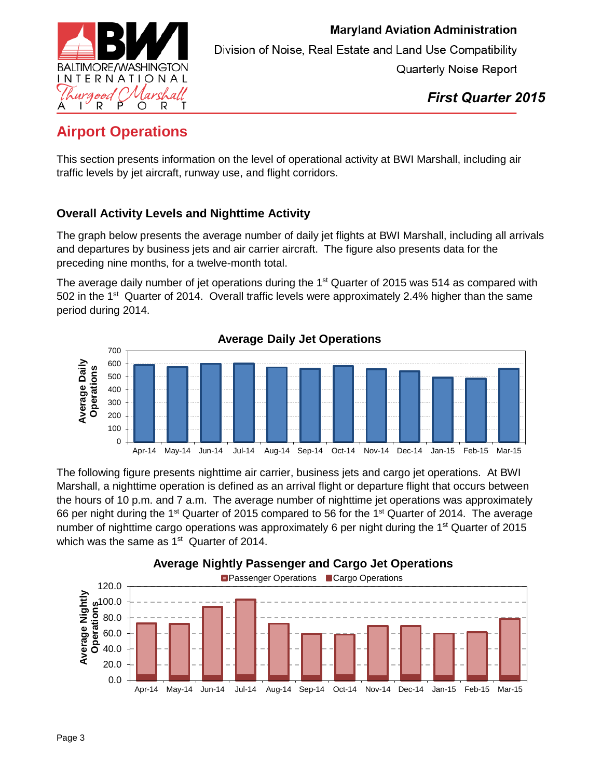

*First Quarter 2015*

# <span id="page-2-0"></span>**Airport Operations**

This section presents information on the level of operational activity at BWI Marshall, including air traffic levels by jet aircraft, runway use, and flight corridors.

### **Overall Activity Levels and Nighttime Activity**

The graph below presents the average number of daily jet flights at BWI Marshall, including all arrivals and departures by business jets and air carrier aircraft. The figure also presents data for the preceding nine months, for a twelve-month total.

The average daily number of jet operations during the 1<sup>st</sup> Quarter of 2015 was 514 as compared with 502 in the 1<sup>st</sup> Quarter of 2014. Overall traffic levels were approximately 2.4% higher than the same period during 2014.



The following figure presents nighttime air carrier, business jets and cargo jet operations. At BWI Marshall, a nighttime operation is defined as an arrival flight or departure flight that occurs between the hours of 10 p.m. and 7 a.m. The average number of nighttime jet operations was approximately 66 per night during the 1<sup>st</sup> Quarter of 2015 compared to 56 for the 1<sup>st</sup> Quarter of 2014. The average number of nighttime cargo operations was approximately 6 per night during the 1<sup>st</sup> Quarter of 2015 which was the same as  $1<sup>st</sup>$  Quarter of 2014.



#### **Average Nightly Passenger and Cargo Jet Operations**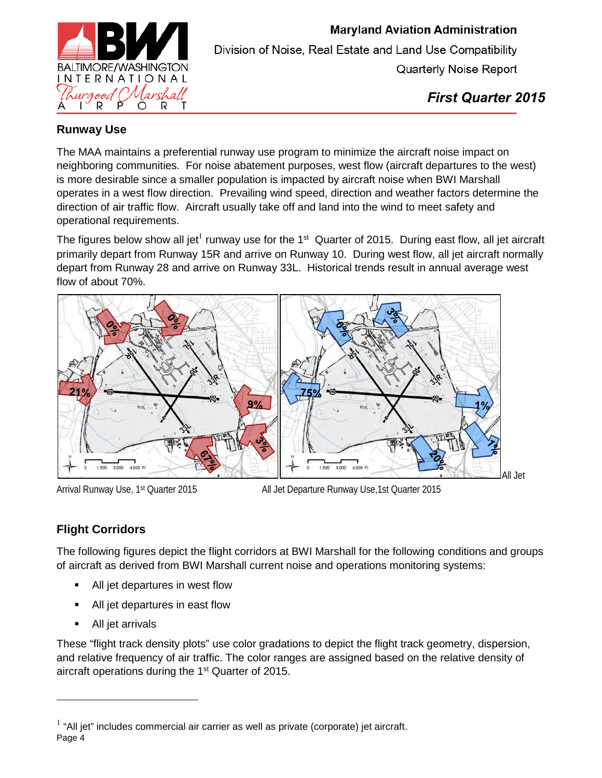

#### **Runway Use**

The MAA maintains a preferential runway use program to minimize the aircraft noise impact on neighboring communities. For noise abatement purposes, west flow (aircraft departures to the west) is more desirable since a smaller population is impacted by aircraft noise when BWI Marshall operates in a west flow direction. Prevailing wind speed, direction and weather factors determine the direction of air traffic flow. Aircraft usually take off and land into the wind to meet safety and operational requirements.

The figures below show all jet<sup>1</sup> runway use for the 1<sup>st</sup> Quarter of 2015. During east flow, all jet aircraft primarily depart from Runway 15R and arrive on Runway 10. During west flow, all jet aircraft normally depart from Runway 28 and arrive on Runway 33L. Historical trends result in annual average west flow of about 70%.



Arrival Runway Use, 1st Quarter 2015 All Jet Departure Runway Use,1st Quarter 2015

### **Flight Corridors**

The following figures depict the flight corridors at BWI Marshall for the following conditions and groups of aircraft as derived from BWI Marshall current noise and operations monitoring systems:

- All jet departures in west flow
- All jet departures in east flow
- All jet arrivals

 $\overline{a}$ 

These "flight track density plots" use color gradations to depict the flight track geometry, dispersion, and relative frequency of air traffic. The color ranges are assigned based on the relative density of aircraft operations during the 1<sup>st</sup> Quarter of 2015.

Page 4  $<sup>1</sup>$  "All jet" includes commercial air carrier as well as private (corporate) jet aircraft.</sup>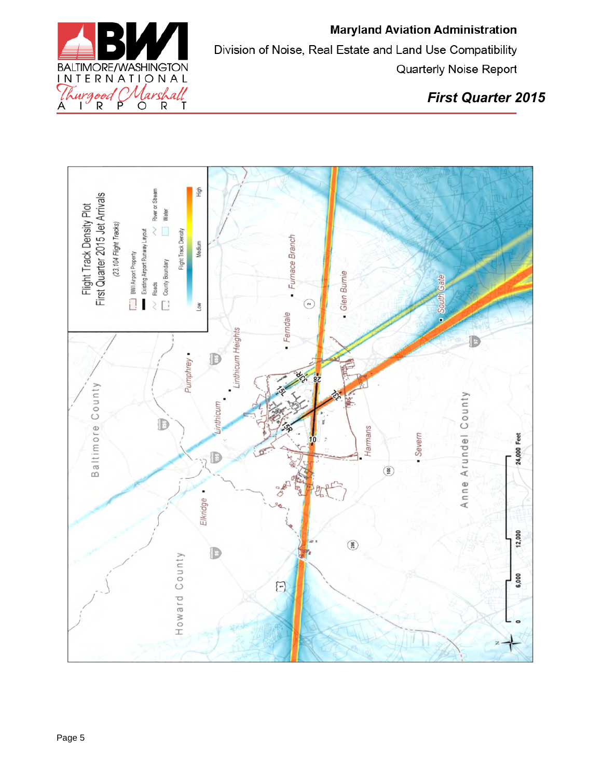

*First Quarter 2015*

<span id="page-4-0"></span>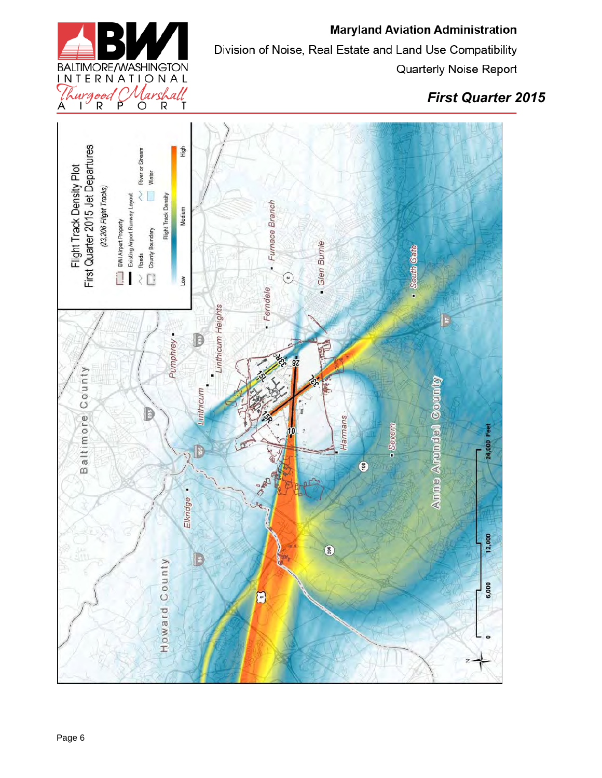

### *First Quarter 2015*

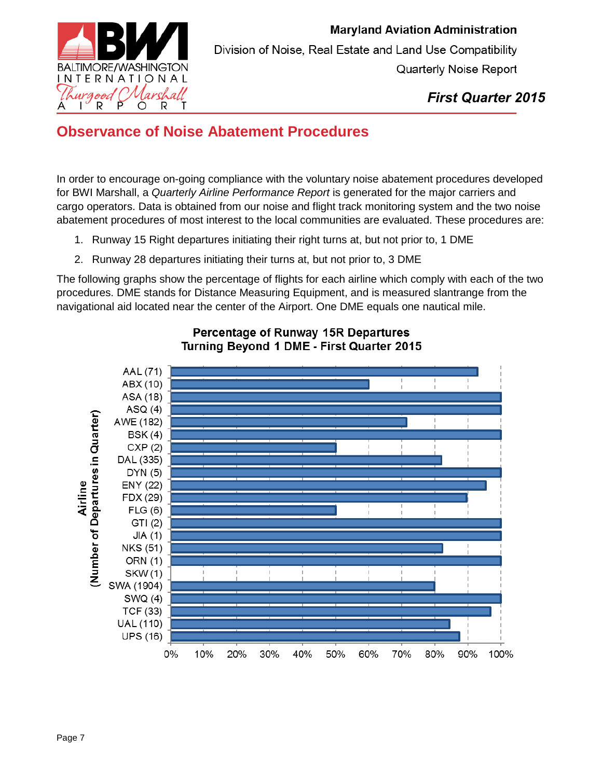

### **Observance of Noise Abatement Procedures**

In order to encourage on-going compliance with the voluntary noise abatement procedures developed for BWI Marshall, a *Quarterly Airline Performance Report* is generated for the major carriers and cargo operators. Data is obtained from our noise and flight track monitoring system and the two noise abatement procedures of most interest to the local communities are evaluated. These procedures are:

- 1. Runway 15 Right departures initiating their right turns at, but not prior to, 1 DME
- 2. Runway 28 departures initiating their turns at, but not prior to, 3 DME

The following graphs show the percentage of flights for each airline which comply with each of the two procedures. DME stands for Distance Measuring Equipment, and is measured slantrange from the navigational aid located near the center of the Airport. One DME equals one nautical mile.



#### Percentage of Runway 15R Departures Turning Beyond 1 DME - First Quarter 2015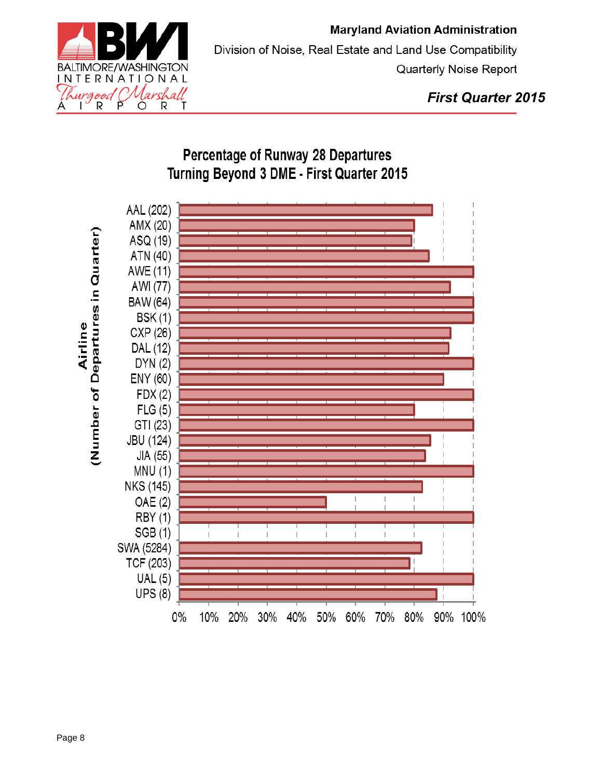

## **Percentage of Runway 28 Departures** Turning Beyond 3 DME - First Quarter 2015

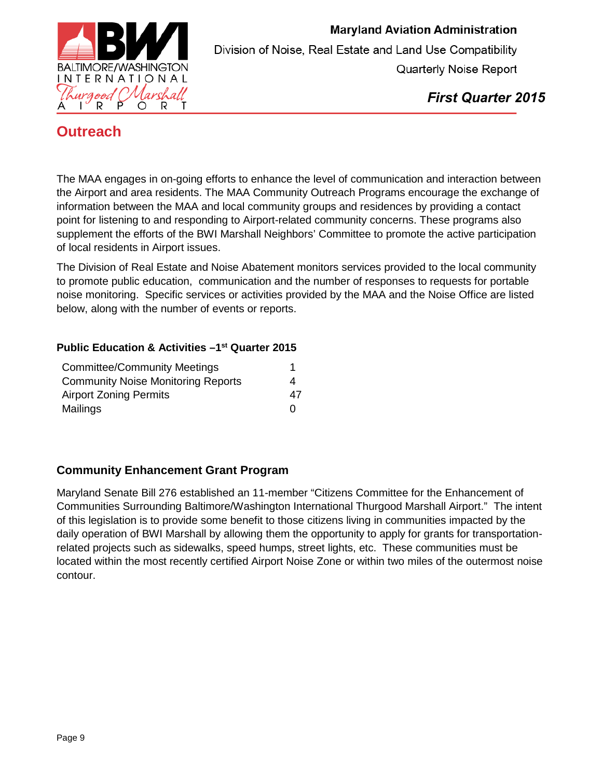

*First Quarter 2015*

### <span id="page-8-0"></span>**Outreach**

The MAA engages in on-going efforts to enhance the level of communication and interaction between the Airport and area residents. The MAA Community Outreach Programs encourage the exchange of information between the MAA and local community groups and residences by providing a contact point for listening to and responding to Airport-related community concerns. These programs also supplement the efforts of the BWI Marshall Neighbors' Committee to promote the active participation of local residents in Airport issues.

The Division of Real Estate and Noise Abatement monitors services provided to the local community to promote public education, communication and the number of responses to requests for portable noise monitoring. Specific services or activities provided by the MAA and the Noise Office are listed below, along with the number of events or reports.

#### **Public Education & Activities –1st Quarter 2015**

| <b>Committee/Community Meetings</b><br><b>Community Noise Monitoring Reports</b> |    |
|----------------------------------------------------------------------------------|----|
|                                                                                  | 4  |
| <b>Airport Zoning Permits</b>                                                    | 47 |
| Mailings                                                                         | O  |

#### **Community Enhancement Grant Program**

Maryland Senate Bill 276 established an 11-member "Citizens Committee for the Enhancement of Communities Surrounding Baltimore/Washington International Thurgood Marshall Airport." The intent of this legislation is to provide some benefit to those citizens living in communities impacted by the daily operation of BWI Marshall by allowing them the opportunity to apply for grants for transportationrelated projects such as sidewalks, speed humps, street lights, etc. These communities must be located within the most recently certified Airport Noise Zone or within two miles of the outermost noise contour.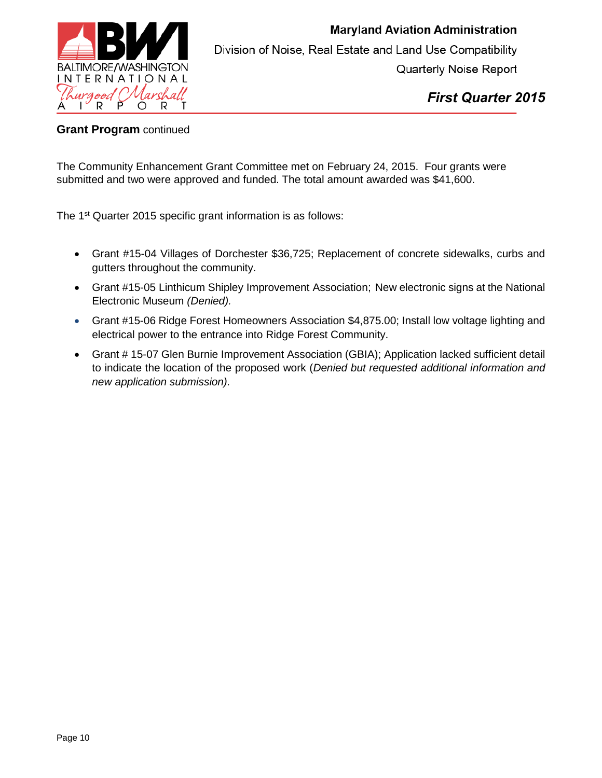

*First Quarter 2015*

#### **Grant Program** continued

The Community Enhancement Grant Committee met on February 24, 2015. Four grants were submitted and two were approved and funded. The total amount awarded was \$41,600.

The 1<sup>st</sup> Quarter 2015 specific grant information is as follows:

- Grant #15-04 Villages of Dorchester \$36,725; Replacement of concrete sidewalks, curbs and gutters throughout the community.
- Grant #15-05 Linthicum Shipley Improvement Association; New electronic signs at the National Electronic Museum *(Denied).*
- Grant #15-06 Ridge Forest Homeowners Association \$4,875.00; Install low voltage lighting and electrical power to the entrance into Ridge Forest Community.
- Grant # 15-07 Glen Burnie Improvement Association (GBIA); Application lacked sufficient detail to indicate the location of the proposed work (*Denied but requested additional information and new application submission).*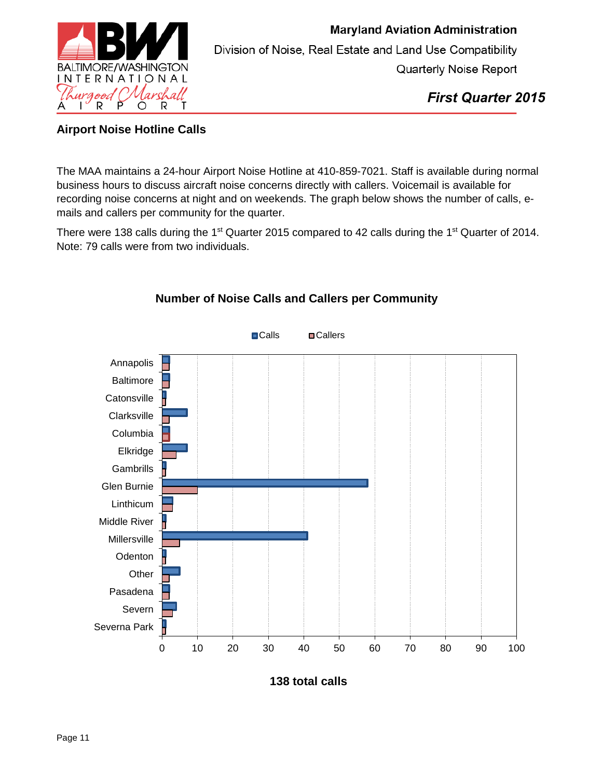

*First Quarter 2015*

#### **Airport Noise Hotline Calls**

The MAA maintains a 24-hour Airport Noise Hotline at 410-859-7021. Staff is available during normal business hours to discuss aircraft noise concerns directly with callers. Voicemail is available for recording noise concerns at night and on weekends. The graph below shows the number of calls, emails and callers per community for the quarter.

There were 138 calls during the 1<sup>st</sup> Quarter 2015 compared to 42 calls during the 1<sup>st</sup> Quarter of 2014. Note: 79 calls were from two individuals.



#### **Number of Noise Calls and Callers per Community**

**138 total calls**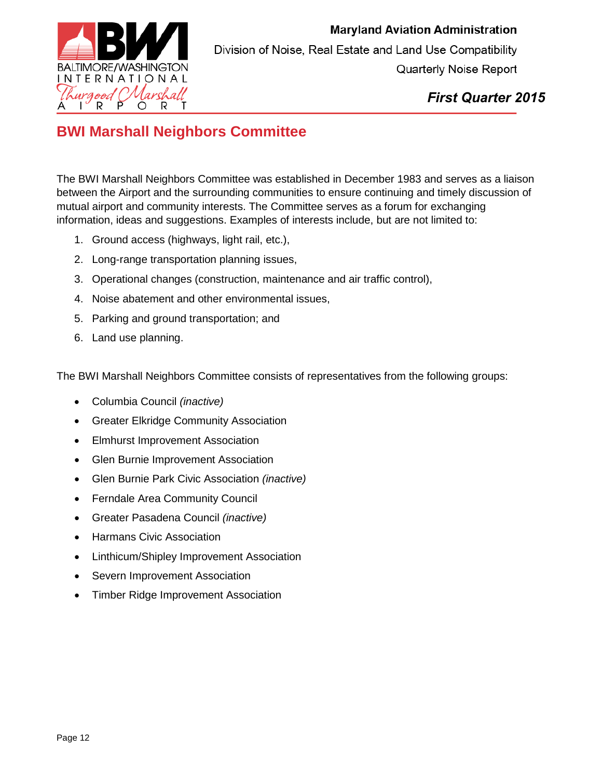

*First Quarter 2015*

## <span id="page-11-0"></span>**BWI Marshall Neighbors Committee**

The BWI Marshall Neighbors Committee was established in December 1983 and serves as a liaison between the Airport and the surrounding communities to ensure continuing and timely discussion of mutual airport and community interests. The Committee serves as a forum for exchanging information, ideas and suggestions. Examples of interests include, but are not limited to:

- 1. Ground access (highways, light rail, etc.),
- 2. Long-range transportation planning issues,
- 3. Operational changes (construction, maintenance and air traffic control),
- 4. Noise abatement and other environmental issues,
- 5. Parking and ground transportation; and
- 6. Land use planning.

The BWI Marshall Neighbors Committee consists of representatives from the following groups:

- Columbia Council *(inactive)*
- Greater Elkridge Community Association
- Elmhurst Improvement Association
- Glen Burnie Improvement Association
- Glen Burnie Park Civic Association *(inactive)*
- Ferndale Area Community Council
- Greater Pasadena Council *(inactive)*
- Harmans Civic Association
- Linthicum/Shipley Improvement Association
- Severn Improvement Association
- Timber Ridge Improvement Association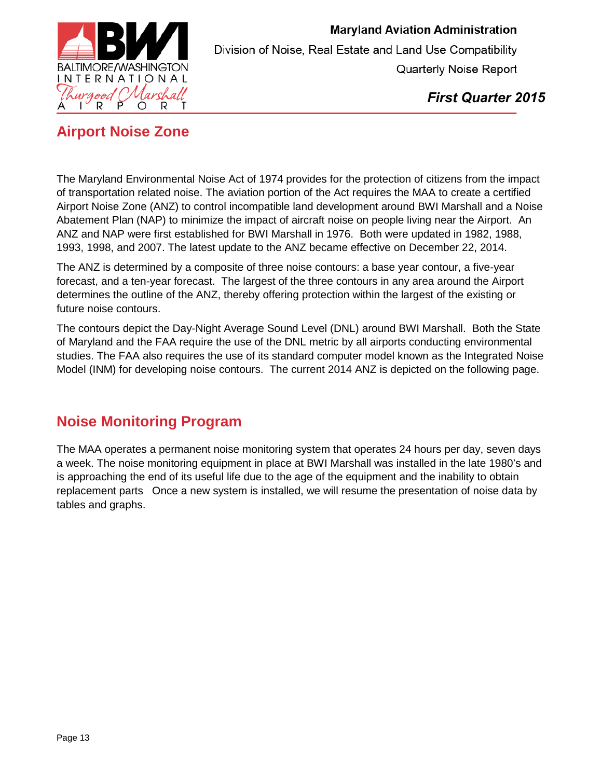

*First Quarter 2015*

### <span id="page-12-0"></span>**Airport Noise Zone**

The Maryland Environmental Noise Act of 1974 provides for the protection of citizens from the impact of transportation related noise. The aviation portion of the Act requires the MAA to create a certified Airport Noise Zone (ANZ) to control incompatible land development around BWI Marshall and a Noise Abatement Plan (NAP) to minimize the impact of aircraft noise on people living near the Airport. An ANZ and NAP were first established for BWI Marshall in 1976. Both were updated in 1982, 1988, 1993, 1998, and 2007. The latest update to the ANZ became effective on December 22, 2014.

The ANZ is determined by a composite of three noise contours: a base year contour, a five-year forecast, and a ten-year forecast. The largest of the three contours in any area around the Airport determines the outline of the ANZ, thereby offering protection within the largest of the existing or future noise contours.

The contours depict the Day-Night Average Sound Level (DNL) around BWI Marshall. Both the State of Maryland and the FAA require the use of the DNL metric by all airports conducting environmental studies. The FAA also requires the use of its standard computer model known as the Integrated Noise Model (INM) for developing noise contours. The current 2014 ANZ is depicted on the following page.

### <span id="page-12-1"></span>**Noise Monitoring Program**

The MAA operates a permanent noise monitoring system that operates 24 hours per day, seven days a week. The noise monitoring equipment in place at BWI Marshall was installed in the late 1980's and is approaching the end of its useful life due to the age of the equipment and the inability to obtain replacement parts Once a new system is installed, we will resume the presentation of noise data by tables and graphs.